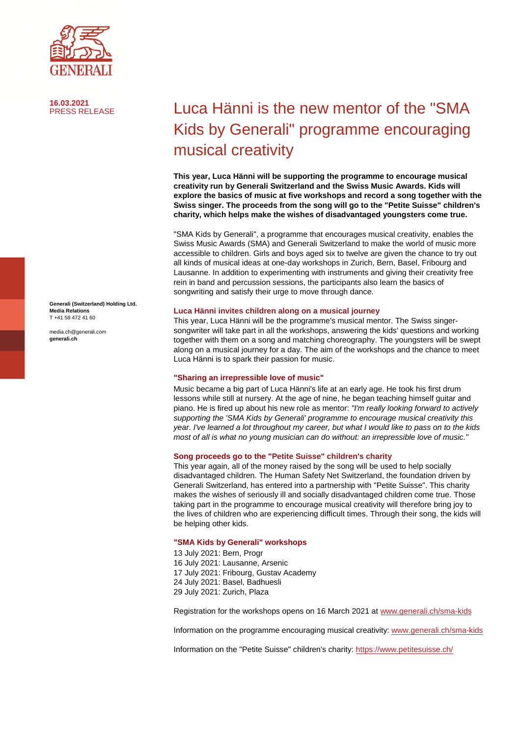

**16.03.2021**

**Generali (Switzerland) Holding Ltd. Media Relations**  T +41 58 472 41 60

media.ch@generali.com **generali.ch**

# Luca Hänni is the new mentor of the "SMA Kids by Generali" programme encouraging musical creativity

**This year, Luca Hänni will be supporting the programme to encourage musical creativity run by Generali Switzerland and the Swiss Music Awards. Kids will explore the basics of music at five workshops and record a song together with the Swiss singer. The proceeds from the song will go to the "Petite Suisse" children's charity, which helps make the wishes of disadvantaged youngsters come true.** 

"SMA Kids by Generali", a programme that encourages musical creativity, enables the Swiss Music Awards (SMA) and Generali Switzerland to make the world of music more accessible to children. Girls and boys aged six to twelve are given the chance to try out all kinds of musical ideas at one-day workshops in Zurich, Bern, Basel, Fribourg and Lausanne. In addition to experimenting with instruments and giving their creativity free rein in band and percussion sessions, the participants also learn the basics of songwriting and satisfy their urge to move through dance.

### **Luca Hänni invites children along on a musical journey**

This year, Luca Hänni will be the programme's musical mentor. The Swiss singersongwriter will take part in all the workshops, answering the kids' questions and working together with them on a song and matching choreography. The youngsters will be swept along on a musical journey for a day. The aim of the workshops and the chance to meet Luca Hänni is to spark their passion for music.

### **"Sharing an irrepressible love of music"**

Music became a big part of Luca Hänni's life at an early age. He took his first drum lessons while still at nursery. At the age of nine, he began teaching himself guitar and piano. He is fired up about his new role as mentor: *"I'm really looking forward to actively supporting the 'SMA Kids by Generali' programme to encourage musical creativity this year. I've learned a lot throughout my career, but what I would like to pass on to the kids most of all is what no young musician can do without: an irrepressible love of music."* 

### **Song proceeds go to the "Petite Suisse" children's charity**

This year again, all of the money raised by the song will be used to help socially disadvantaged children. The Human Safety Net Switzerland, the foundation driven by Generali Switzerland, has entered into a partnership with "Petite Suisse". This charity makes the wishes of seriously ill and socially disadvantaged children come true. Those taking part in the programme to encourage musical creativity will therefore bring joy to the lives of children who are experiencing difficult times. Through their song, the kids will be helping other kids.

### **"SMA Kids by Generali" workshops**

13 July 2021: Bern, Progr 16 July 2021: Lausanne, Arsenic 17 July 2021: Fribourg, Gustav Academy 24 July 2021: Basel, Badhuesli 29 July 2021: Zurich, Plaza

Registration for the workshops opens on 16 March 2021 a[t www.generali.ch/sma-kids](https://www.generali.ch/sma-kids)

Information on the programme encouraging musical creativity[: www.generali.ch/sma-kids](http://www.generali.ch/sma-kids)

Information on the "Petite Suisse" children's charity[: https://www.petitesuisse.ch/](https://www.petitesuisse.ch/)